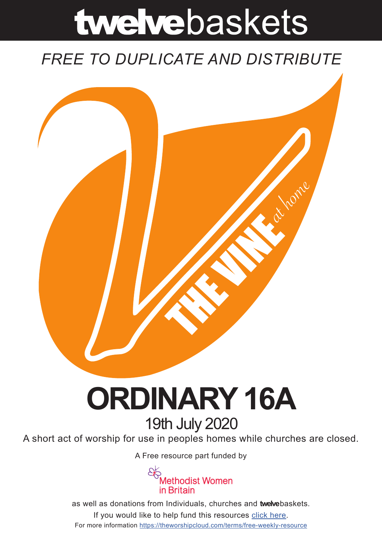# twelvebaskets

### *FREE TO DUPLICATE AND DISTRIBUTE*



## **ORDINARY 16A** 19th July 2020

A short act of worship for use in peoples homes while churches are closed.

A [Free resource part funded](https://mwib.org.uk) by



as well as donations from Individuals, churches and **twelve**baskets. If you would like to help fund this resources [click here]( https://theworshipcloud.com/tags/donation). For more information<https://theworshipcloud.com/terms/free-weekly-resource>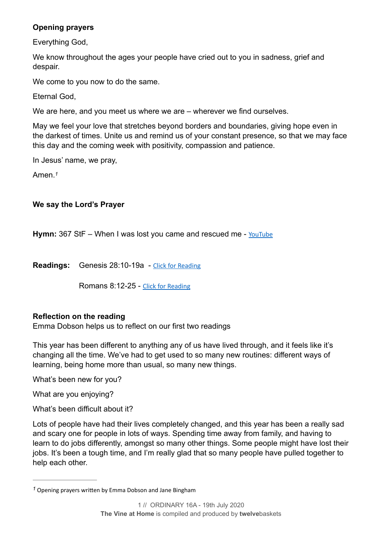#### **Opening prayers**

Everything God,

We know throughout the ages your people have cried out to you in sadness, grief and despair.

We come to you now to do the same.

Eternal God,

We are here, and you meet us where we are – wherever we find ourselves.

May we feel your love that stretches beyond borders and boundaries, giving hope even in the darkest of times. Unite us and remind us of your constant presence, so that we may face this day and the coming week with positivity, compassion and patience.

In Jesus' name, we pray,

<span id="page-1-1"></span>Amen.*[1](#page-1-0)*

#### **We say the Lord's Prayer**

**Hymn:** 367 StF – When I was lost you came and rescued me - [YouTube](https://www.youtube.com/watch?v=73JuxCgFEgk)

**Readings:** Genesis 28:10-19a - [Click for Reading](https://www.biblegateway.com/passage/?search=Genesis+28:10-19a&version=NRSV)

Romans 8:12-25 - [Click for Reading](https://www.biblegateway.com/passage/?search=Romans+8:12-25&version=NRSV)

#### **Reflection on the reading**

Emma Dobson helps us to reflect on our first two readings

This year has been different to anything any of us have lived through, and it feels like it's changing all the time. We've had to get used to so many new routines: different ways of learning, being home more than usual, so many new things.

What's been new for you?

What are you enjoying?

What's been difficult about it?

Lots of people have had their lives completely changed, and this year has been a really sad and scary one for people in lots of ways. Spending time away from family, and having to learn to do jobs differently, amongst so many other things. Some people might have lost their jobs. It's been a tough time, and I'm really glad that so many people have pulled together to help each other.

<span id="page-1-0"></span><sup>&</sup>lt;sup>[1](#page-1-1)</sup> Opening prayers written by Emma Dobson and Jane Bingham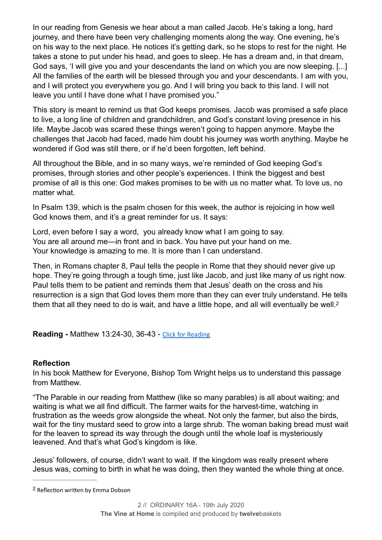In our reading from Genesis we hear about a man called Jacob. He's taking a long, hard journey, and there have been very challenging moments along the way. One evening, he's on his way to the next place. He notices it's getting dark, so he stops to rest for the night. He takes a stone to put under his head, and goes to sleep. He has a dream and, in that dream, God says, 'I will give you and your descendants the land on which you are now sleeping. [...] All the families of the earth will be blessed through you and your descendants. I am with you, and I will protect you everywhere you go. And I will bring you back to this land. I will not leave you until I have done what I have promised you."

This story is meant to remind us that God keeps promises. Jacob was promised a safe place to live, a long line of children and grandchildren, and God's constant loving presence in his life. Maybe Jacob was scared these things weren't going to happen anymore. Maybe the challenges that Jacob had faced, made him doubt his journey was worth anything. Maybe he wondered if God was still there, or if he'd been forgotten, left behind.

All throughout the Bible, and in so many ways, we're reminded of God keeping God's promises, through stories and other people's experiences. I think the biggest and best promise of all is this one: God makes promises to be with us no matter what. To love us, no matter what.

In Psalm 139, which is the psalm chosen for this week, the author is rejoicing in how well God knows them, and it's a great reminder for us. It says:

Lord, even before I say a word, you already know what I am going to say. You are all around me—in front and in back. You have put your hand on me. Your knowledge is amazing to me. It is more than I can understand.

Then, in Romans chapter 8, Paul tells the people in Rome that they should never give up hope. They're going through a tough time, just like Jacob, and just like many of us right now. Paul tells them to be patient and reminds them that Jesus' death on the cross and his resurrection is a sign that God loves them more than they can ever truly understand. He tells them that all they need to do is wait, and have a little hope, and all will eventually be well.<sup>2</sup>

<span id="page-2-1"></span>**Reading -** Matthew 13:24-30, 36-43 - [Click for Reading](https://www.biblegateway.com/passage/?search=Matthew+13:24-30,+36-43&version=NRSV)

#### **Reflection**

In his book Matthew for Everyone, Bishop Tom Wright helps us to understand this passage from Matthew.

"The Parable in our reading from Matthew (like so many parables) is all about waiting; and waiting is what we all find difficult. The farmer waits for the harvest-time, watching in frustration as the weeds grow alongside the wheat. Not only the farmer, but also the birds, wait for the tiny mustard seed to grow into a large shrub. The woman baking bread must wait for the leaven to spread its way through the dough until the whole loaf is mysteriously leavened. And that's what God's kingdom is like.

Jesus' followers, of course, didn't want to wait. If the kingdom was really present where Jesus was, coming to birth in what he was doing, then they wanted the whole thing at once.

<span id="page-2-0"></span><sup>&</sup>lt;sup>[2](#page-2-1)</sup> Reflection written by Emma Dobson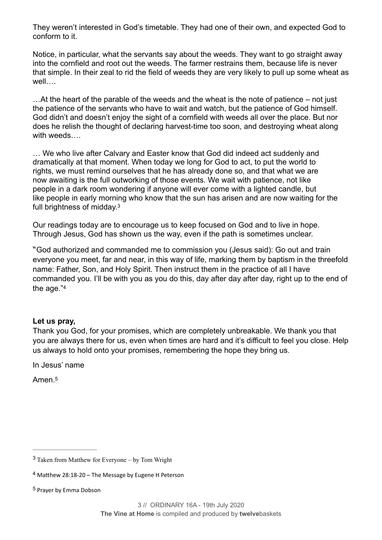They weren't interested in God's timetable. They had one of their own, and expected God to conform to it.

Notice, in particular, what the servants say about the weeds. They want to go straight away into the cornfield and root out the weeds. The farmer restrains them, because life is never that simple. In their zeal to rid the field of weeds they are very likely to pull up some wheat as well….

…At the heart of the parable of the weeds and the wheat is the note of patience – not just the patience of the servants who have to wait and watch, but the patience of God himself. God didn't and doesn't enjoy the sight of a cornfield with weeds all over the place. But nor does he relish the thought of declaring harvest-time too soon, and destroying wheat along with weeds….

… We who live after Calvary and Easter know that God did indeed act suddenly and dramatically at that moment. When today we long for God to act, to put the world to rights, we must remind ourselves that he has already done so, and that what we are now awaiting is the full outworking of those events. We wait with patience, not like people in a dark room wondering if anyone will ever come with a lighted candle, but like people in early morning who know that the sun has arisen and are now waiting for the full brightness of midday.[3](#page-3-0)

<span id="page-3-3"></span>Our readings today are to encourage us to keep focused on God and to live in hope. Through Jesus, God has shown us the way, even if the path is sometimes unclear.

"God authorized and commanded me to commission you (Jesus said): Go out and train everyone you meet, far and near, in this way of life, marking them by baptism in the threefold name: Father, Son, and Holy Spirit. Then instruct them in the practice of all I have commanded you. I'll be with you as you do this, day after day after day, right up to the end of the age.["4](#page-3-1)

#### <span id="page-3-4"></span>**Let us pray,**

Thank you God, for your promises, which are completely unbreakable. We thank you that you are always there for us, even when times are hard and it's difficult to feel you close. Help us always to hold onto your promises, remembering the hope they bring us.

In Jesus' name

<span id="page-3-5"></span>Amen<sup>[5](#page-3-2)</sup>

<span id="page-3-0"></span> $3$  Taken from Matthew for Everyone – by Tom Wright

<span id="page-3-1"></span> $4$  Matthew 28:18-20 – The Message by Eugene H Peterson

<span id="page-3-2"></span><sup>&</sup>lt;sup>[5](#page-3-5)</sup> Prayer by Emma Dobson